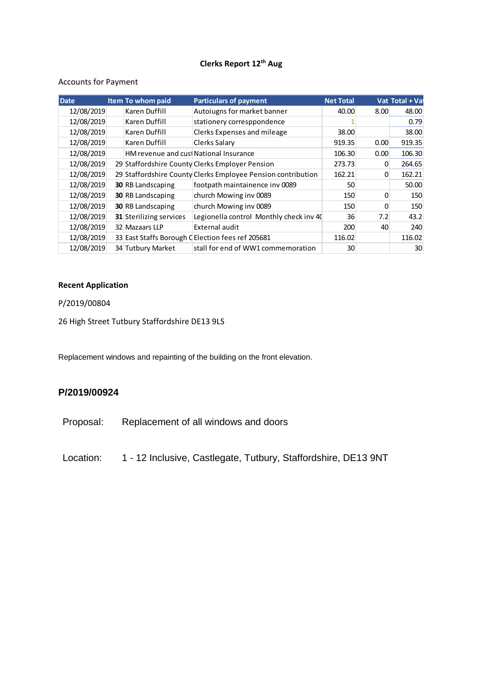# **Clerks Report 12th Aug**

### Accounts for Payment

| <b>Date</b> | <b>Item To whom paid</b>               | <b>Particulars of payment</b>                                | <b>Net Total</b> |      | Vat Total + Va |
|-------------|----------------------------------------|--------------------------------------------------------------|------------------|------|----------------|
| 12/08/2019  | Karen Duffill                          | Autoiugns for market banner                                  | 40.00            | 8.00 | 48.00          |
| 12/08/2019  | Karen Duffill                          | stationery corresppondence                                   |                  |      | 0.79           |
| 12/08/2019  | Karen Duffill                          | Clerks Expenses and mileage                                  | 38.00            |      | 38.00          |
| 12/08/2019  | Karen Duffill                          | Clerks Salary                                                | 919.35           | 0.00 | 919.35         |
| 12/08/2019  | HM revenue and cust National Insurance |                                                              | 106.30           | 0.00 | 106.30         |
| 12/08/2019  |                                        | 29 Staffordshire County Clerks Employer Pension              | 273.73           | 0    | 264.65         |
| 12/08/2019  |                                        | 29 Staffordshire County Clerks Employee Pension contribution | 162.21           | 0    | 162.21         |
| 12/08/2019  | <b>30 RB Landscaping</b>               | footpath maintainence inv 0089                               | 50               |      | 50.00          |
| 12/08/2019  | <b>30 RB Landscaping</b>               | church Mowing inv 0089                                       | 150              | 0    | 150            |
| 12/08/2019  | <b>30 RB Landscaping</b>               | church Mowing inv 0089                                       | 150              | 0    | 150            |
| 12/08/2019  | 31 Sterilizing services                | Legionella control Monthly check inv 40                      | 36               | 7.2  | 43.2           |
| 12/08/2019  | 32 Mazaars LLP                         | External audit                                               | 200              | 40   | 240            |
| 12/08/2019  |                                        | 33 East Staffs Borough C Election fees ref 205681            | 116.02           |      | 116.02         |
| 12/08/2019  | 34 Tutbury Market                      | stall for end of WW1 commemoration                           | 30               |      | 30             |

### **Recent Application**

### P/2019/00804

26 High Street Tutbury Staffordshire DE13 9LS

Replacement windows and repainting of the building on the front elevation.

## **P/2019/00924**

Proposal: Replacement of all windows and doors

Location: 1 - 12 Inclusive, Castlegate, Tutbury, Staffordshire, DE13 9NT